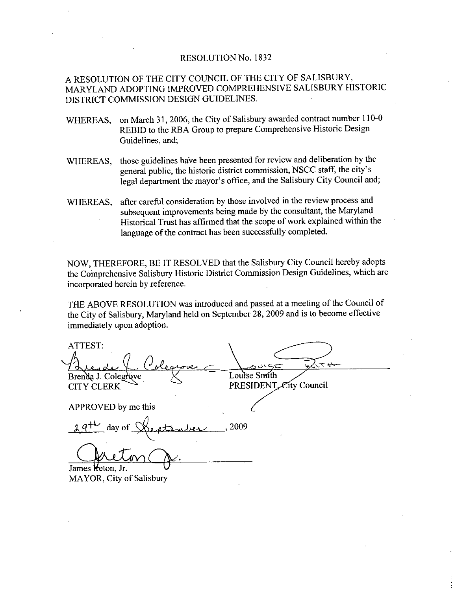### RESOLUTION No. 1832

### A RESOLUTION OF THE CITY COUNCIL OF THE CITY OF SALISBURY MARYLAND ADOPTING IMPROVED COMPREHENSIVE SALISBURY HISTORIC DISTRICT COMMISSION DESIGN GUIDELINES

- WHEREAS, on March 31, 2006, the City of Salisbury awarded contract number 110-0 REBID to the RBA Group to prepare Comprehensive Historic Design Guidelines, and;
- WHEREAS, those guidelines have been presented for review and deliberation by the general public, the historic district commission, NSCC staff, the city's legal department the mayor's office, and the Salisbury City Council and;
- WHEREAS, after careful consideration by those involved in the review process and subsequent improvements being made by the consultant, the Maryland Historical Trust has affirmed that the scope of work explained within the language of the contract has been successfully completed.

NOW, THEREFORE, BE IT RESOLVED that the Salisbury City Council hereby adopts the Comprehensive Salisbury Historic District Commission Design Guidelines, which are incorporated herein by reference

THE ABOVE RESOLUTION was introduced and passed at ameeting of the Council of the City of Salisbury, Maryland held on September 28, 2009 and is to become effective immediately upon adoption

FION OF THE CITY COUNCIL<br>
ND ADOPTING IMPROVED CO<br>
COMMISSION DESIGN GUIDE<br>
3, on March 31, 2006, the City of<br>
REBID to the RBA Group to p<br>
Guidelines, and;<br>
5, those guidelines have been pre<br>
general public, the historic  $\frac{1}{\sqrt{2}}$  is to become<br>  $\frac{1}{\sqrt{2}}$ ATTEST Louise Smith Brenda J. Colegróve PRESIDENT City Council CITY CLERK<br>APPROVED to<br>
<u>2 9<sup>+h</sup></u> day APPROVED by me this 2009 James Heton, Jr.

MAYOR, City of Salisbury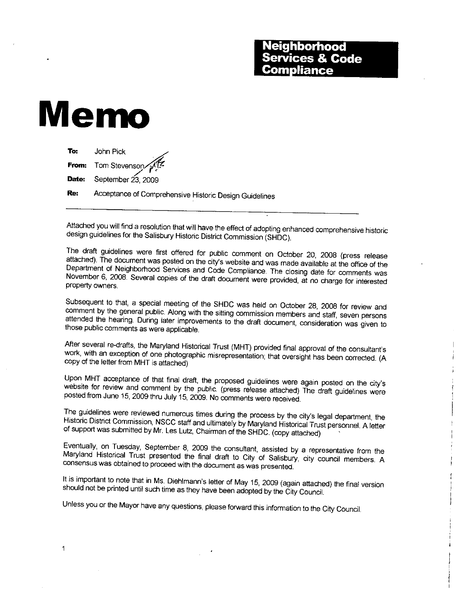# Memo

 $\mathbf{1}$ 

| To: | John Pick                                              |
|-----|--------------------------------------------------------|
|     | From: Tom Stevenson                                    |
|     | <b>Date:</b> September $23$ , 2009                     |
| Re: | Acceptance of Comprehensive Historic Design Guidelines |

Attached you will find <sup>a</sup> resolution that will have the effect of adopting enhanced comprehensive historic design guidelines for the Salisbury Historic District Commission (SHDC).

The draft guidelines were first offered for public comment on October 20, 2008 (press release attached). The document was posted on the city's website and was made available at the office of the Department of Neighborhood Services and Code Compliance. The closing date for comments was<br>November 6, 2008. Several copies of the draft document were provided, at no charge for interested property owners

Subsequent to that, a special meeting of the SHDC was held on October 28, 2008 for review and<br>comment by the general public. Along with the sitting commission members and staff, seven persons attended the hearing. During later improvements to the draft document, consideration was given to those public comments as were applicable. review and<br>ven persons<br>vas given to<br>consultant's<br>orrected. (A

After several work, with an exception of one photographic misrepresentation; that oversight has been corrected. (A comments as were applicable.<br>
re-drafts, the Maryland Historical Trust (MHT) provided final approval of the<br>
exception of one photographic ations copy of the letter from MHT is attached

website for review and comment by the public (press release attached) The draft guidelines were Upon MHT acceptance of that final draft, the proposed guidelines were again posted on the city's<br>of that final draft, the proposed guidelines were again posted on the city's<br>comment by the public. (press release attached) The draft quidelines posted from June 15, 2009 thru July 15, 2009. No comments were received.

The guidelines were reviewed numerous times during the process by the city's legal department, the Historic District Commission, NSCC staff and ultimately by Maryland Historical Trust personnel. A letter of support was sub

Maryland Historical Trust presented the final draft to City of Salisbury, city council members. A consensus was obtained to proceedwith the document as was presented Eventually, on Tuesday, September 8, 2009 the consultant, assisted by a representative from the Maryland Historical Trust presented the final draft to City of Salisbury, city council members. A consensus was obtained to pr

Unless you or the Mayor have any questions, please forward this information to the City Council.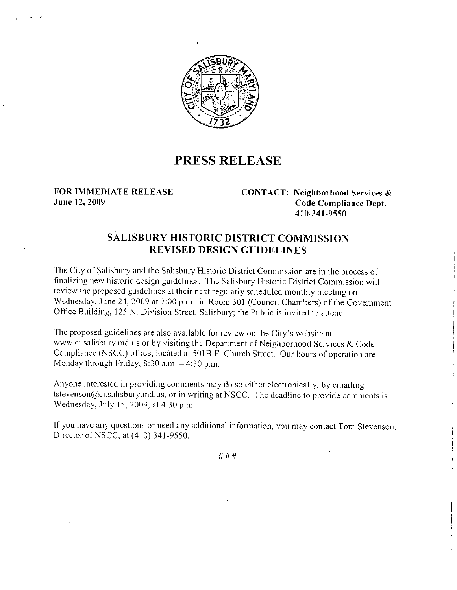

### PRESS RELEASE

FOR IMMEDIATE RELEASE CONTACT: Neighborhood Services &<br>June 12, 2009 Code Compliance Dept. June 12, 2009 **Code Compliance Dept** Neignbornood<br>Code Compli:<br>410-341-9550

## SALISBURY HISTORIC DISTRICT COMMISSION **JRY HISTORIC DISTRICT COMI<br>REVISED DESIGN GUIDELINES**

The City of Salisbury and the Salisbury Historic District Commission are in the process of finalizing new historic design guidelines The Salisbury Historic District Commission will review the proposed guidelines at their next regularly scheduled monthly meeting on finalizing new historic design guidelines. The Salisbury Historic District Commission will<br>review the proposed guidelines at their next regularly scheduled monthly meeting on<br>Wednesday, June 24, 2009 at 7:00 p.m., in Room Office Building, 125 N. Division Street, Salisbury; the Public is invited to attend. The City of Salisbury and the Salisbury Historic District Commission are in the process of inalizing new historic design guidelines. The Salisbury Historic District Commission wireview the proposed guidelines at their nex

Office Building, 125 N. Division Street, Salisbury; the Public is invited to atte<br>The proposed guidelines are also available for review on the City's website at<br>www.ci.salisbury.md.us or by visiting the Department of Neigh Compliance (NSCC) office, located at 501B E. Church Street. Our hours of operation are Monday through Friday, 8:30 a.m. - 4:30 p.m. The proposed guidelines are also available for a<br>www.ci.salisbury.md.us or by visiting the Depa<br>Compliance (NSCC) office, located at 501B E.<br>Monday through Friday, 8:30 a.m. – 4:30 p.m. The proposed guidelines are also available for review on the City's website at<br>www.ci.salisbury.md.us or by visiting the Department of Neighborhood Services & Code<br>Compliance (NSCC) office, located at 501B E. Church Street

Anyone interested in providing comments may do so either electronically, by emailing tstevenson@ci.salisbury.md.us, or in writing at NSCC. The deadline to provide comments is Wednesday, July 15, 2009, at 4:30 p.m.

If you have any questions or need any additional information, you may contact Tom Stevenson, Director of NSCC, at (410) 341-9550.

###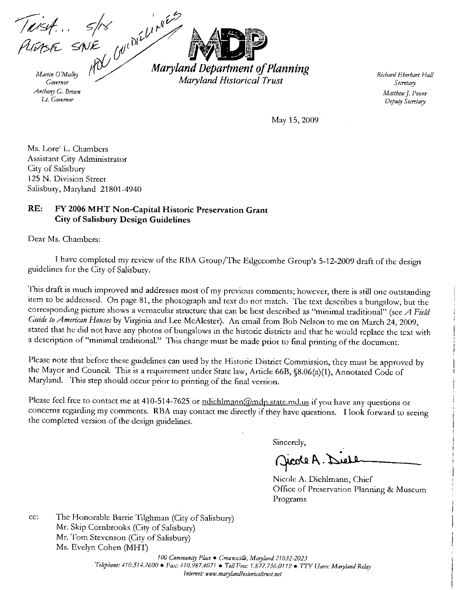Teist... 5/18<br>PLEASE SNE WINE MATCH

Governor Anthony G. Brown Lt. Governor

Maryland Department of Planning Maryland Historical Trust

Richard Eberhart Hall Secretary Matthew J. Power Deputy Secretary

May 15, 2009

Ms. Lore' L. Chambers Assistant City Administrator City of Salisbury 125 N. Division Street Salisbury, Maryland 21801-4940

#### $RE:$ FY 2006 MHT Non-Capital Historic Preservation Grant **City of Salisbury Design Guidelines**

Dear Ms. Chambers:

I have completed my review of the RBA Group/The Edgecombe Group's 5-12-2009 draft of the design guidelines for the City of Salisbury.

This draft is much improved and addresses most of my previous comments; however, there is still one outstanding item to be addressed. On page 81, the photograph and text do not match. The text describes a bungalow, but the corresponding picture shows a vernacular structure that can be best described as "minimal traditional" (see A Field Guide to American Houses by Virginia and Lee McAlester). An email from Bob Nelson to me on March 24, 2009, stated that he did not have any photos of bungalows in the historic districts and that he would replace the text with a description of "minimal traditional." This change must be made prior to final printing of the document.

Please note that before these guidelines can used by the Historic District Commission, they must be approved by the Mayor and Council. This is a requirement under State law, Article 66B, §8.06(a)(1), Annotated Code of Maryland. This step should occur prior to printing of the final version.

Please feel free to contact me at 410-514-7625 or ndichlmann@mdp.state.md.us if you have any questions or concerns regarding my comments. RBA may contact me directly if they have questions. I look forward to seeing the completed version of the design guidelines.

Sincerely,

Jeole A. Del

Nicole A. Diehlmann, Chief Office of Preservation Planning & Museum Programs

The Honorable Barrie Tilghman (City of Salisbury) cc: Mr. Skip Cornbrooks (City of Salisbury) Mr. Tom Stevenson (City of Salisbury) Ms. Evelyn Cohen (MHT)

> 100 Community Place . Crownsville, Maryland 21032-2023 Telephone: 410.514.7600 • Fax: 410.987.4071 • Toll Free: 1.877.756.0119 • TTY Users: Maryland Relay Internet: www.marylandhistoricaltrust.net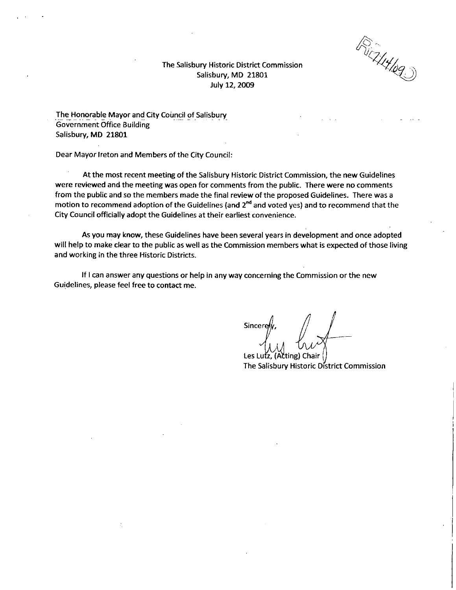v L

The Salisbury Historic District Commission Salisbury, MD 21801 July 12, 2009

The Honorable Mayor and City Council of Salisbury Government Office Building Salisbury, MD 21801

Dear Mayor Ireton and Members of the City Council

At the most recent meeting of the Salisbury Historic District Commission, the new Guidelines were reviewed and the meeting was open for comments from the public. There were no comments from the public and so the members made the final review of the proposed Guidelines. There was a motion to recommend adoption of the Guidelines (and  $2<sup>nd</sup>$  and voted yes) and to recommend that the City Council officially adopt the Guidelines at their earliest convenience

As you may know, these Guidelines have been several years in development and once adopted will help to make clear to the public as well as the Commission members what is expected of those living and working in the three Historic Districts

If I can answer any questions or help in any way concerning the Commission or the new Guidelines, please feel free to contact me.

**Sincere**  $\overline{\mathcal{A}}$ 

Les Lutz, (Acting) Chair The Salisbury Historic District Commission